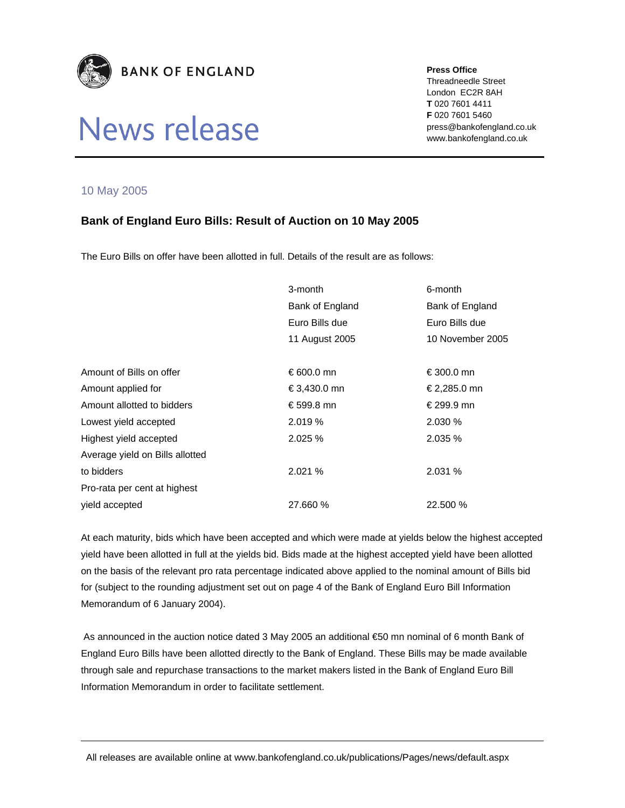

# News release

#### **Press Office**

Threadneedle Street London EC2R 8AH **T** 020 7601 4411 **F** 020 7601 5460 press@bankofengland.co.uk www.bankofengland.co.uk

### 10 May 2005

## **Bank of England Euro Bills: Result of Auction on 10 May 2005**

The Euro Bills on offer have been allotted in full. Details of the result are as follows:

|                                 | 3-month         | 6-month          |
|---------------------------------|-----------------|------------------|
|                                 | Bank of England | Bank of England  |
|                                 | Euro Bills due  | Euro Bills due   |
|                                 | 11 August 2005  | 10 November 2005 |
|                                 |                 |                  |
| Amount of Bills on offer        | € 600.0 mn      | €300.0 mn        |
| Amount applied for              | €3,430.0 mn     | €2,285.0 mn      |
| Amount allotted to bidders      | €599.8 mn       | € 299.9 mn       |
| Lowest yield accepted           | 2.019%          | 2.030 %          |
| Highest yield accepted          | 2.025%          | 2.035 %          |
| Average yield on Bills allotted |                 |                  |
| to bidders                      | 2.021%          | 2.031 %          |
| Pro-rata per cent at highest    |                 |                  |
| yield accepted                  | 27.660 %        | 22.500 %         |

At each maturity, bids which have been accepted and which were made at yields below the highest accepted yield have been allotted in full at the yields bid. Bids made at the highest accepted yield have been allotted on the basis of the relevant pro rata percentage indicated above applied to the nominal amount of Bills bid for (subject to the rounding adjustment set out on page 4 of the Bank of England Euro Bill Information Memorandum of 6 January 2004).

 As announced in the auction notice dated 3 May 2005 an additional €50 mn nominal of 6 month Bank of England Euro Bills have been allotted directly to the Bank of England. These Bills may be made available through sale and repurchase transactions to the market makers listed in the Bank of England Euro Bill Information Memorandum in order to facilitate settlement.